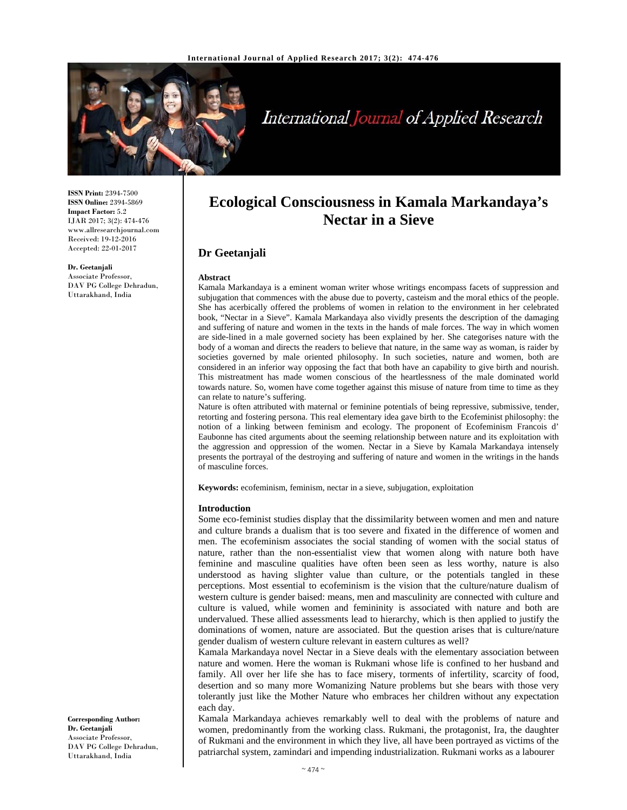

# International Journal of Applied Research

**ISSN Print:** 2394-7500 **ISSN Online:** 2394-5869 **Impact Factor:** 5.2 IJAR 2017; 3(2): 474-476 www.allresearchjournal.com Received: 19-12-2016 Accepted: 22-01-2017

**Dr. Geetanjali**  Associate Professor, DAV PG College Dehradun, Uttarakhand, India

# **Ecological Consciousness in Kamala Markandaya's Nectar in a Sieve**

## **Dr Geetanjali**

#### **Abstract**

Kamala Markandaya is a eminent woman writer whose writings encompass facets of suppression and subjugation that commences with the abuse due to poverty, casteism and the moral ethics of the people. She has acerbically offered the problems of women in relation to the environment in her celebrated book, "Nectar in a Sieve". Kamala Markandaya also vividly presents the description of the damaging and suffering of nature and women in the texts in the hands of male forces. The way in which women are side-lined in a male governed society has been explained by her. She categorises nature with the body of a woman and directs the readers to believe that nature, in the same way as woman, is raider by societies governed by male oriented philosophy. In such societies, nature and women, both are considered in an inferior way opposing the fact that both have an capability to give birth and nourish. This mistreatment has made women conscious of the heartlessness of the male dominated world towards nature. So, women have come together against this misuse of nature from time to time as they can relate to nature's suffering.

Nature is often attributed with maternal or feminine potentials of being repressive, submissive, tender, retorting and fostering persona. This real elementary idea gave birth to the Ecofeminist philosophy: the notion of a linking between feminism and ecology. The proponent of Ecofeminism Francois d' Eaubonne has cited arguments about the seeming relationship between nature and its exploitation with the aggression and oppression of the women. Nectar in a Sieve by Kamala Markandaya intensely presents the portrayal of the destroying and suffering of nature and women in the writings in the hands of masculine forces.

**Keywords:** ecofeminism, feminism, nectar in a sieve, subjugation, exploitation

#### **Introduction**

Some eco-feminist studies display that the dissimilarity between women and men and nature and culture brands a dualism that is too severe and fixated in the difference of women and men. The ecofeminism associates the social standing of women with the social status of nature, rather than the non-essentialist view that women along with nature both have feminine and masculine qualities have often been seen as less worthy, nature is also understood as having slighter value than culture, or the potentials tangled in these perceptions. Most essential to ecofeminism is the vision that the culture/nature dualism of western culture is gender baised: means, men and masculinity are connected with culture and culture is valued, while women and femininity is associated with nature and both are undervalued. These allied assessments lead to hierarchy, which is then applied to justify the dominations of women, nature are associated. But the question arises that is culture/nature gender dualism of western culture relevant in eastern cultures as well?

Kamala Markandaya novel Nectar in a Sieve deals with the elementary association between nature and women. Here the woman is Rukmani whose life is confined to her husband and family. All over her life she has to face misery, torments of infertility, scarcity of food, desertion and so many more Womanizing Nature problems but she bears with those very tolerantly just like the Mother Nature who embraces her children without any expectation each day.

Kamala Markandaya achieves remarkably well to deal with the problems of nature and women, predominantly from the working class. Rukmani, the protagonist, Ira, the daughter of Rukmani and the environment in which they live, all have been portrayed as victims of the patriarchal system, zamindari and impending industrialization. Rukmani works as a labourer

**Corresponding Author: Dr. Geetanjali**  Associate Professor, DAV PG College Dehradun, Uttarakhand, India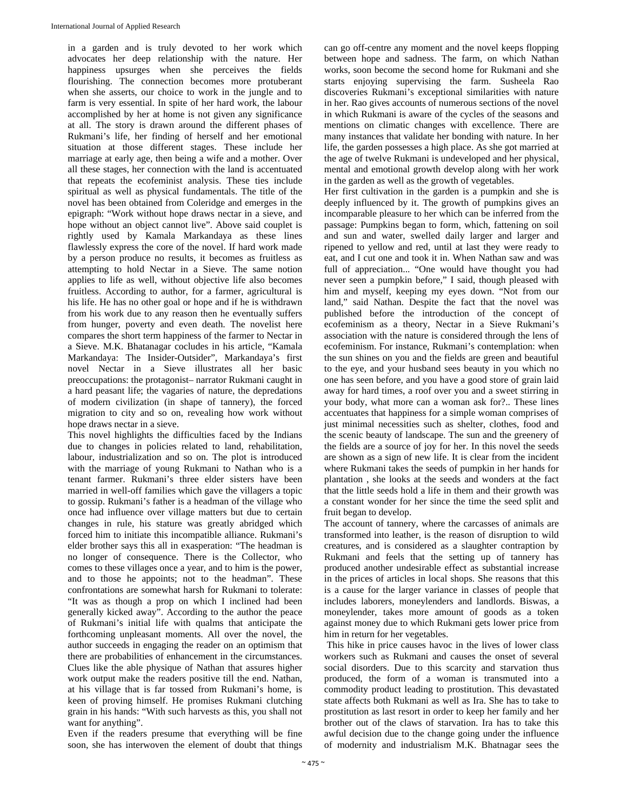in a garden and is truly devoted to her work which advocates her deep relationship with the nature. Her happiness upsurges when she perceives the fields flourishing. The connection becomes more protuberant when she asserts, our choice to work in the jungle and to farm is very essential. In spite of her hard work, the labour accomplished by her at home is not given any significance at all. The story is drawn around the different phases of Rukmani's life, her finding of herself and her emotional situation at those different stages. These include her marriage at early age, then being a wife and a mother. Over all these stages, her connection with the land is accentuated that repeats the ecofeminist analysis. These ties include spiritual as well as physical fundamentals. The title of the novel has been obtained from Coleridge and emerges in the epigraph: "Work without hope draws nectar in a sieve, and hope without an object cannot live". Above said couplet is rightly used by Kamala Markandaya as these lines flawlessly express the core of the novel. If hard work made by a person produce no results, it becomes as fruitless as attempting to hold Nectar in a Sieve. The same notion applies to life as well, without objective life also becomes fruitless. According to author, for a farmer, agricultural is his life. He has no other goal or hope and if he is withdrawn from his work due to any reason then he eventually suffers from hunger, poverty and even death. The novelist here compares the short term happiness of the farmer to Nectar in a Sieve. M.K. Bhatanagar cocludes in his article, "Kamala Markandaya: The Insider-Outsider", Markandaya's first novel Nectar in a Sieve illustrates all her basic preoccupations: the protagonist– narrator Rukmani caught in a hard peasant life; the vagaries of nature, the depredations of modern civilization (in shape of tannery), the forced migration to city and so on, revealing how work without hope draws nectar in a sieve.

This novel highlights the difficulties faced by the Indians due to changes in policies related to land, rehabilitation, labour, industrialization and so on. The plot is introduced with the marriage of young Rukmani to Nathan who is a tenant farmer. Rukmani's three elder sisters have been married in well-off families which gave the villagers a topic to gossip. Rukmani's father is a headman of the village who once had influence over village matters but due to certain changes in rule, his stature was greatly abridged which forced him to initiate this incompatible alliance. Rukmani's elder brother says this all in exasperation: "The headman is no longer of consequence. There is the Collector, who comes to these villages once a year, and to him is the power, and to those he appoints; not to the headman". These confrontations are somewhat harsh for Rukmani to tolerate: "It was as though a prop on which I inclined had been generally kicked away". According to the author the peace of Rukmani's initial life with qualms that anticipate the forthcoming unpleasant moments. All over the novel, the author succeeds in engaging the reader on an optimism that there are probabilities of enhancement in the circumstances. Clues like the able physique of Nathan that assures higher work output make the readers positive till the end. Nathan, at his village that is far tossed from Rukmani's home, is keen of proving himself. He promises Rukmani clutching grain in his hands: "With such harvests as this, you shall not want for anything".

Even if the readers presume that everything will be fine soon, she has interwoven the element of doubt that things can go off-centre any moment and the novel keeps flopping between hope and sadness. The farm, on which Nathan works, soon become the second home for Rukmani and she starts enjoying supervising the farm. Susheela Rao discoveries Rukmani's exceptional similarities with nature in her. Rao gives accounts of numerous sections of the novel in which Rukmani is aware of the cycles of the seasons and mentions on climatic changes with excellence. There are many instances that validate her bonding with nature. In her life, the garden possesses a high place. As she got married at the age of twelve Rukmani is undeveloped and her physical, mental and emotional growth develop along with her work in the garden as well as the growth of vegetables.

Her first cultivation in the garden is a pumpkin and she is deeply influenced by it. The growth of pumpkins gives an incomparable pleasure to her which can be inferred from the passage: Pumpkins began to form, which, fattening on soil and sun and water, swelled daily larger and larger and ripened to yellow and red, until at last they were ready to eat, and I cut one and took it in. When Nathan saw and was full of appreciation... "One would have thought you had never seen a pumpkin before," I said, though pleased with him and myself, keeping my eyes down. "Not from our land," said Nathan. Despite the fact that the novel was published before the introduction of the concept of ecofeminism as a theory, Nectar in a Sieve Rukmani's association with the nature is considered through the lens of ecofeminism. For instance, Rukmani's contemplation: when the sun shines on you and the fields are green and beautiful to the eye, and your husband sees beauty in you which no one has seen before, and you have a good store of grain laid away for hard times, a roof over you and a sweet stirring in your body, what more can a woman ask for?.. These lines accentuates that happiness for a simple woman comprises of just minimal necessities such as shelter, clothes, food and the scenic beauty of landscape. The sun and the greenery of the fields are a source of joy for her. In this novel the seeds are shown as a sign of new life. It is clear from the incident where Rukmani takes the seeds of pumpkin in her hands for plantation , she looks at the seeds and wonders at the fact that the little seeds hold a life in them and their growth was a constant wonder for her since the time the seed split and fruit began to develop.

The account of tannery, where the carcasses of animals are transformed into leather, is the reason of disruption to wild creatures, and is considered as a slaughter contraption by Rukmani and feels that the setting up of tannery has produced another undesirable effect as substantial increase in the prices of articles in local shops. She reasons that this is a cause for the larger variance in classes of people that includes laborers, moneylenders and landlords. Biswas, a moneylender, takes more amount of goods as a token against money due to which Rukmani gets lower price from him in return for her vegetables.

 This hike in price causes havoc in the lives of lower class workers such as Rukmani and causes the onset of several social disorders. Due to this scarcity and starvation thus produced, the form of a woman is transmuted into a commodity product leading to prostitution. This devastated state affects both Rukmani as well as Ira. She has to take to prostitution as last resort in order to keep her family and her brother out of the claws of starvation. Ira has to take this awful decision due to the change going under the influence of modernity and industrialism M.K. Bhatnagar sees the